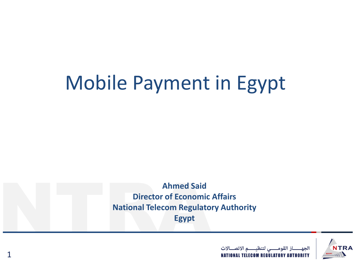# Mobile Payment in Egypt

Ahmed Said<br>Director of Economic<br>National Telecom Regulato<br>Egypt **Ahmed Said Director of Economic Affairs National Telecom Regulatory Authority Egypt**



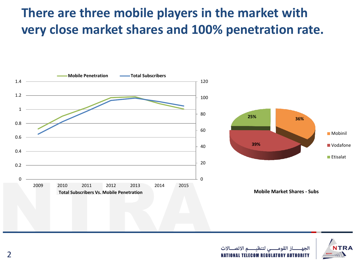#### **There are three mobile players in the market with very close market shares and 100% penetration rate.**





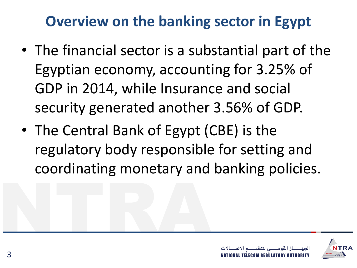### **Overview on the banking sector in Egypt**

- The financial sector is a substantial part of the Egyptian economy, accounting for 3.25% of GDP in 2014, while Insurance and social security generated another 3.56% of GDP.
- NTRA • The Central Bank of Egypt (CBE) is the regulatory body responsible for setting and coordinating monetary and banking policies.

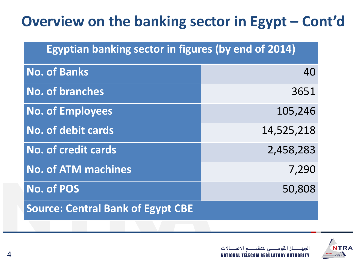### **Overview on the banking sector in Egypt – Cont'd**

| <b>Egyptian banking sector in figures (by end of 2014)</b> |            |
|------------------------------------------------------------|------------|
| <b>No. of Banks</b>                                        | 40         |
| <b>No. of branches</b>                                     | 3651       |
| <b>No. of Employees</b>                                    | 105,246    |
| <b>No. of debit cards</b>                                  | 14,525,218 |
| <b>No. of credit cards</b>                                 | 2,458,283  |
| <b>No. of ATM machines</b>                                 | 7,290      |
| <b>No. of POS</b>                                          | 50,808     |
| <b>Source: Central Bank of Egypt CBE</b>                   |            |
|                                                            |            |

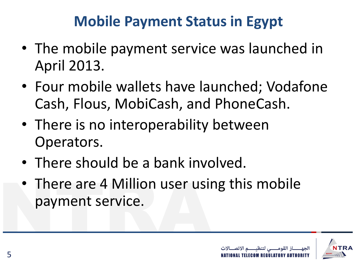### **Mobile Payment Status in Egypt**

- The mobile payment service was launched in April 2013.
- Four mobile wallets have launched; Vodafone Cash, Flous, MobiCash, and PhoneCash.
- There is no interoperability between Operators.
- There should be a bank involved.
- There are 4 Million user using this mobile<br>payment service. payment service.

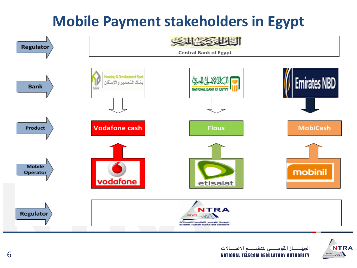## **Mobile Payment stakeholders in Egypt**



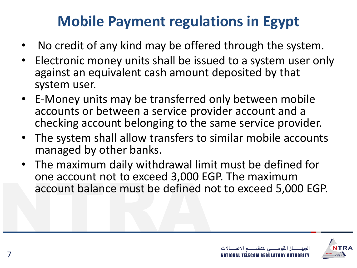## **Mobile Payment regulations in Egypt**

- No credit of any kind may be offered through the system.
- Electronic money units shall be issued to a system user only against an equivalent cash amount deposited by that system user.
- E-Money units may be transferred only between mobile accounts or between a service provider account and a checking account belonging to the same service provider.
- The system shall allow transfers to similar mobile accounts managed by other banks.
- one account not to exceed 3,000 EC<br>account balance must be defined n • The maximum daily withdrawal limit must be defined for one account not to exceed 3,000 EGP. The maximum account balance must be defined not to exceed 5,000 EGP.

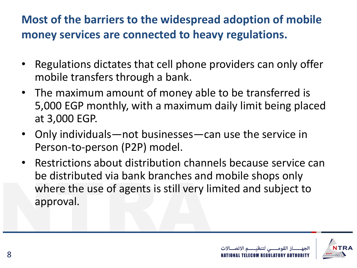#### **Most of the barriers to the widespread adoption of mobile money services are connected to heavy regulations.**

- Regulations dictates that cell phone providers can only offer mobile transfers through a bank.
- The maximum amount of money able to be transferred is 5,000 EGP monthly, with a maximum daily limit being placed at 3,000 EGP.
- Only individuals—not businesses—can use the service in Person-to-person (P2P) model.
- De distributed via bank branches and<br>where the use of agents is still very li<br>approval. • Restrictions about distribution channels because service can be distributed via bank branches and mobile shops only where the use of agents is still very limited and subject to approval.

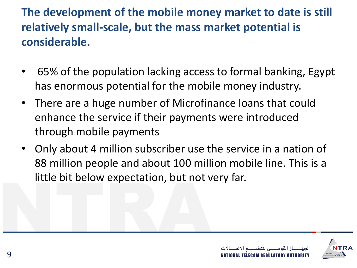#### **The development of the mobile money market to date is still relatively small-scale, but the mass market potential is considerable.**

- 65% of the population lacking access to formal banking, Egypt has enormous potential for the mobile money industry.
- There are a huge number of Microfinance loans that could enhance the service if their payments were introduced through mobile payments
- little bit below expectation, but not very far.<br>
The same of the same of the same of the same of the same of the same of the same of the same of the same of the same of the same of the same of the same of the same of the s • Only about 4 million subscriber use the service in a nation of 88 million people and about 100 million mobile line. This is a

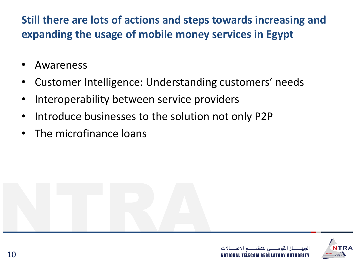**Still there are lots of actions and steps towards increasing and expanding the usage of mobile money services in Egypt**

- Awareness
- Customer Intelligence: Understanding customers' needs
- Interoperability between service providers
- Introduce businesses to the solution not only P2P
- The microfinance loans

NTRA